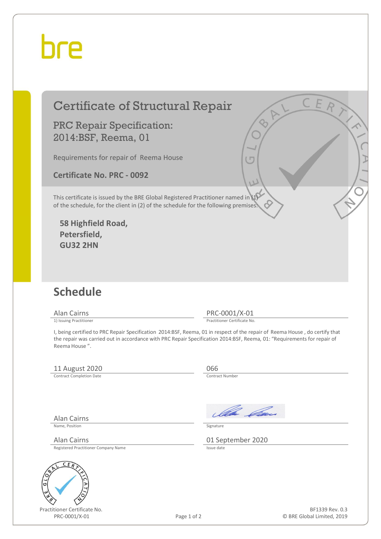## hre

### Certificate of Structural Repair

PRC Repair Specification: 2014:BSF, Reema, 01

Requirements for repair of Reema House

**Certificate No. PRC - 0092** 

This certificate is issued by the BRE Global Registered Practitioner named in (1) of the schedule, for the client in (2) of the schedule for the following premises:

**58 Highfield Road, Petersfield, GU32 2HN** 

#### **Schedule**

Alan Cairns PRC-0001/X-01<br>
1) Issuing Practitioner<br>
Practitioner Certificate No

Practitioner Certificate No.

I, being certified to PRC Repair Specification 2014:BSF, Reema, 01 in respect of the repair of Reema House , do certify that the repair was carried out in accordance with PRC Repair Specification 2014:BSF, Reema, 01: "Requirements for repair of Reema House ".

#### 11 August 2020<br>
Contract Completion Date

Contract Completion Date

Alan Cairns

Ila *Ga*n

Name, Position Signature

Alan Cairns 01 September 2020

Registered Practitioner Company Name



Practitioner Certificate No. PRC-0001/X-01 Page 1 of 2